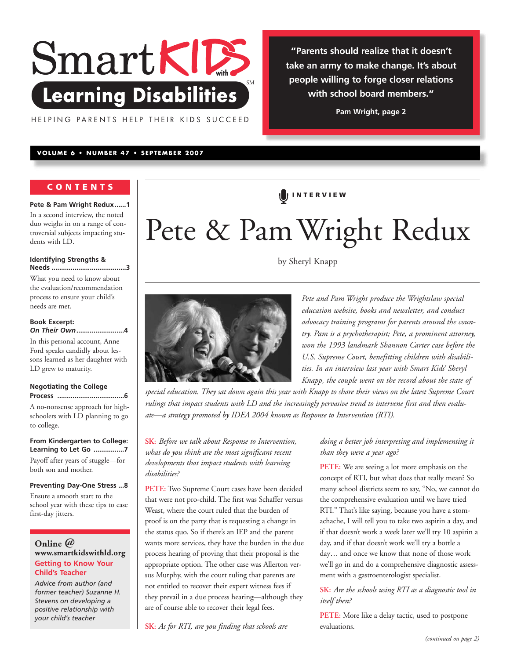

HELPING PARENTS HELP THEIR KIDS SUCCEED

**VOLUME 6 • NUMBER 47 • SEPTEMBER 2007**

# **CONTENTS**

**Pete & Pam Wright Redux......1** In a second interview, the noted duo weighs in on a range of controversial subjects impacting students with LD.

#### **Identifying Strengths &**

**Needs .......................................3** What you need to know about the evaluation/recommendation process to ensure your child's needs are met.

#### **Book Excerpt:**  *On Their Own***.........................4**

In this personal account, Anne Ford speaks candidly about lessons learned as her daughter with LD grew to maturity.

#### **Negotiating the College Process ...................................6**

A no-nonsense approach for highschoolers with LD planning to go to college.

**From Kindergarten to College: Learning to Let Go ................7** Payoff after years of stuggle—for both son and mother.

**Preventing Day-One Stress ...8** Ensure a smooth start to the school year with these tips to ease first-day jitters.

# **Online @ www.smartkidswithld.org Getting to Know Your Child's Teacher**

*Advice from author (and former teacher) Suzanne H. Stevens on developing a positive relationship with your child's teacher*

[ **<sup>I</sup> NTER VIEW**

# Pete & PamWright Redux

by Sheryl Knapp

*Pete and Pam Wright produce the Wrightslaw special education website, books and newsletter, and conduct advocacy training programs for parents around the country. Pam is a psychotherapist; Pete, a prominent attorney, won the 1993 landmark Shannon Carter case before the U.S. Supreme Court, benefitting children with disabilities. In an interview last year with Smart Kids' Sheryl Knapp, the couple went on the record about the state of*

**"Parents should realize that it doesn't take an army to make change. It's about people willing to forge closer relations with school board members."**

**Pam Wright, page 2**

*special education. They sat down again this year with Knapp to share their views on the latest Supreme Court rulings that impact students with LD and the increasingly pervasive trend to intervene first and then evaluate—a strategy promoted by IDEA 2004 known as Response to Intervention (RTI).*

**SK:** *Before we talk about Response to Intervention, what do you think are the most significant recent developments that impact students with learning disabilities?*

**PETE:** Two Supreme Court cases have been decided that were not pro-child. The first was Schaffer versus Weast, where the court ruled that the burden of proof is on the party that is requesting a change in the status quo. So if there's an IEP and the parent wants more services, they have the burden in the due process hearing of proving that their proposal is the appropriate option. The other case was Allerton versus Murphy, with the court ruling that parents are not entitled to recover their expert witness fees if they prevail in a due process hearing—although they are of course able to recover their legal fees.

**SK:** *As for RTI, are you finding that schools are*

# *doing a better job interpreting and implementing it than they were a year ago?*

**PETE:** We are seeing a lot more emphasis on the concept of RTI, but what does that really mean? So many school districts seem to say, "No, we cannot do the comprehensive evaluation until we have tried RTI." That's like saying, because you have a stomachache, I will tell you to take two aspirin a day, and if that doesn't work a week later we'll try 10 aspirin a day, and if that doesn't work we'll try a bottle a day… and once we know that none of those work we'll go in and do a comprehensive diagnostic assessment with a gastroenterologist specialist.

# **SK:** *Are the schools using RTI as a diagnostic tool in itself then?*

**PETE:** More like a delay tactic, used to postpone evaluations.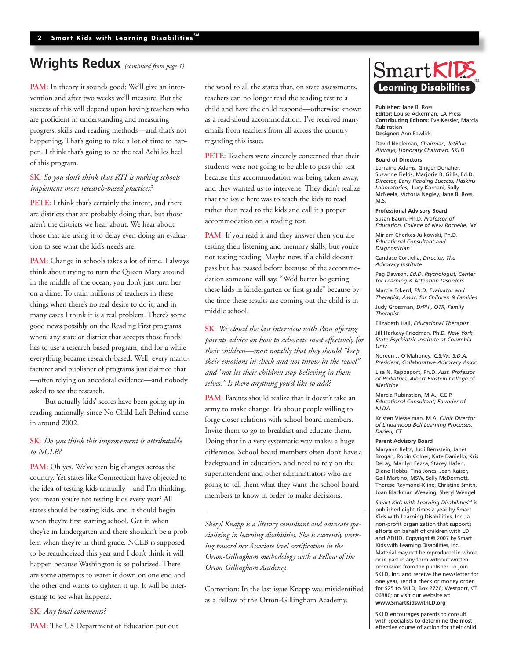# **Wrights Redux** *(continued from page 1)*

PAM: In theory it sounds good: We'll give an intervention and after two weeks we'll measure. But the success of this will depend upon having teachers who are proficient in understanding and measuring progress, skills and reading methods—and that's not happening. That's going to take a lot of time to happen. I think that's going to be the real Achilles heel of this program.

# **SK:** *So you don't think that RTI is making schools implement more research-based practices?*

**PETE:** I think that's certainly the intent, and there are districts that are probably doing that, but those aren't the districts we hear about. We hear about those that are using it to delay even doing an evaluation to see what the kid's needs are.

**PAM:** Change in schools takes a lot of time. I always think about trying to turn the Queen Mary around in the middle of the ocean; you don't just turn her on a dime. To train millions of teachers in these things when there's no real desire to do it, and in many cases I think it is a real problem. There's some good news possibly on the Reading First programs, where any state or district that accepts those funds has to use a research-based program, and for a while everything became research-based. Well, every manufacturer and publisher of programs just claimed that —often relying on anecdotal evidence—and nobody asked to see the research.

But actually kids' scores have been going up in reading nationally, since No Child Left Behind came in around 2002.

## **SK:** *Do you think this improvement is attributable to NCLB?*

**PAM:** Oh yes. We've seen big changes across the country. Yet states like Connecticut have objected to the idea of testing kids annually—and I'm thinking, you mean you're not testing kids every year? All states should be testing kids, and it should begin when they're first starting school. Get in when they're in kindergarten and there shouldn't be a problem when they're in third grade. NCLB is supposed to be reauthorized this year and I don't think it will happen because Washington is so polarized. There are some attempts to water it down on one end and the other end wants to tighten it up. It will be interesting to see what happens.

**SK:** *Any final comments?*

**PAM:** The US Department of Education put out

the word to all the states that, on state assessments, teachers can no longer read the reading test to a child and have the child respond—otherwise known as a read-aloud accommodation. I've received many emails from teachers from all across the country regarding this issue.

**PETE:** Teachers were sincerely concerned that their students were not going to be able to pass this test because this accommodation was being taken away, and they wanted us to intervene. They didn't realize that the issue here was to teach the kids to read rather than read to the kids and call it a proper accommodation on a reading test.

PAM: If you read it and they answer then you are testing their listening and memory skills, but you're not testing reading. Maybe now, if a child doesn't pass but has passed before because of the accommodation someone will say, "We'd better be getting these kids in kindergarten or first grade" because by the time these results are coming out the child is in middle school.

**SK:** *We closed the last interview with Pam offering parents advice on how to advocate most effectively for their children—most notably that they should "keep their emotions in check and not throw in the towel" and "not let their children stop believing in themselves." Is there anything you'd like to add?*

**PAM:** Parents should realize that it doesn't take an army to make change. It's about people willing to forge closer relations with school board members. Invite them to go to breakfast and educate them. Doing that in a very systematic way makes a huge difference. School board members often don't have a background in education, and need to rely on the superintendent and other administrators who are going to tell them what they want the school board members to know in order to make decisions.

*Sheryl Knapp is a literacy consultant and advocate specializing in learning disabilities. She is currently working toward her Associate level certification in the Orton-Gillingham methodology with a Fellow of the Orton-Gillingham Academy.* 

Correction: In the last issue Knapp was misidentified as a Fellow of the Orton-Gillingham Academy.

# $SmartKIR$ SM **Learning Disabilities**

**Publisher:** Jane B. Ross **Editor:** Louise Ackerman, LA Press **Contributing Editors:** Eve Kessler, Marcia Rubinstien **Designer:** Ann Pawlick

David Neeleman, *Chairman, JetBlue Airways, Honorary Chairman, SKLD*

#### **Board of Directors**

Lorraine Adams, Ginger Donaher, Suzanne Fields, Marjorie B. Gillis, Ed.D. *Director, Early Reading Success, Haskins Laboratories*, Lucy Karnani, Sally McNeela, Victoria Negley, Jane B. Ross, M<sub>S</sub>

#### **Professional Advisory Board**

Susan Baum, Ph.D. *Professor of Education, College of New Rochelle, NY*

Miriam Cherkes-Julkowski, Ph.D. *Educational Consultant and Diagnostician*

Candace Cortiella, *Director, The Advocacy Institute*

Peg Dawson, *Ed.D. Psychologist, Center for Learning & Attention Disorders*

Marcia Eckerd*, Ph.D. Evaluator and Therapist, Assoc. for Children & Families*

Judy Grossman, *DrPH., OTR, Family Therapist*

Elizabeth Hall, *Educational Therapist*

Jill Harkavy-Friedman, Ph.D*. New York State Psychiatric Institute at Columbia Univ.*

Noreen J. O'Mahoney*, C.S.W., S.D.A. President, Collaborative Advocacy Assoc.*

Lisa N. Rappaport, Ph.D. *Asst. Professor of Pediatrics, Albert Einstein College of Medicine*

Marcia Rubinstien, M.A., C.E.P. *Educational Consultant; Founder of NLDA*

Kristen Viesselman, M.A. *Clinic Director of Lindamood-Bell Learning Processes, Darien, CT*

#### **Parent Advisory Board**

Maryann Beltz, Judi Bernstein, Janet Brogan, Robin Colner, Kate Daniello, Kris DeLay, Marilyn Fezza, Stacey Hafen, Diane Hobbs, Tina Jones, Jean Kaiser, Gail Martino, MSW, Sally McDermott, Therese Raymond-Kline, Christine Smith, Joan Blackman Weaving, Sheryl Wengel

*Smart Kids with Learning Disabilities<sup>5M</sup>* is published eight times a year by Smart Kids with Learning Disabilities, Inc., a non-profit organization that supports efforts on behalf of children with LD and ADHD. Copyright © 2007 by Smart Kids with Learning Disabilities, Inc. Material may not be reproduced in whole or in part in any form without written permission from the publisher. To join SKLD, Inc. and receive the newsletter for one year, send a check or money order for \$25 to SKLD, Box 2726, Westport, CT 06880; or visit our website at: **www.SmartKidswithLD.org**

SKLD encourages parents to consult with specialists to determine the most effective course of action for their child.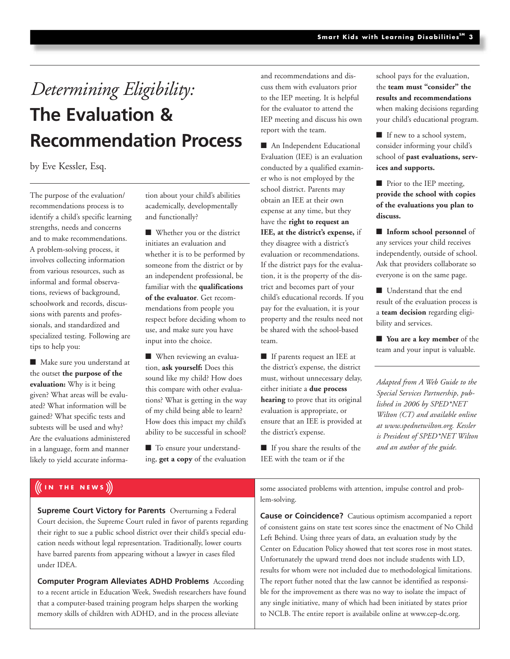# *Determining Eligibility:* **The Evaluation & Recommendation Process**

# by Eve Kessler, Esq.

The purpose of the evaluation/ recommendations process is to identify a child's specific learning strengths, needs and concerns and to make recommendations. A problem-solving process, it involves collecting information from various resources, such as informal and formal observations, reviews of background, schoolwork and records, discussions with parents and professionals, and standardized and specialized testing. Following are tips to help you:

■ Make sure you understand at the outset **the purpose of the evaluation:** Why is it being given? What areas will be evaluated? What information will be gained? What specific tests and subtests will be used and why? Are the evaluations administered in a language, form and manner likely to yield accurate information about your child's abilities academically, developmentally and functionally?

**■** Whether you or the district initiates an evaluation and whether it is to be performed by someone from the district or by an independent professional, be familiar with the **qualifications of the evaluator**. Get recommendations from people you respect before deciding whom to use, and make sure you have input into the choice.

■ When reviewing an evaluation, **ask yourself:** Does this sound like my child? How does this compare with other evaluations? What is getting in the way of my child being able to learn? How does this impact my child's ability to be successful in school?

■ To ensure your understanding, **get a copy** of the evaluation and recommendations and discuss them with evaluators prior to the IEP meeting. It is helpful for the evaluator to attend the IEP meeting and discuss his own report with the team.

■ An Independent Educational Evaluation (IEE) is an evaluation conducted by a qualified examiner who is not employed by the school district. Parents may obtain an IEE at their own expense at any time, but they have the **right to request an IEE, at the district's expense,** if they disagree with a district's evaluation or recommendations. If the district pays for the evaluation, it is the property of the district and becomes part of your child's educational records. If you pay for the evaluation, it is your property and the results need not be shared with the school-based team.

**■** If parents request an IEE at the district's expense, the district must, without unnecessary delay, either initiate a **due process hearing** to prove that its original evaluation is appropriate, or ensure that an IEE is provided at the district's expense.

■ If you share the results of the IEE with the team or if the

school pays for the evaluation, the **team must "consider" the results and recommendations** when making decisions regarding your child's educational program.

■ If new to a school system, consider informing your child's school of **past evaluations, services and supports.**

■ Prior to the IEP meeting, **provide the school with copies of the evaluations you plan to discuss.**

**■ Inform school personnel** of any services your child receives independently, outside of school. Ask that providers collaborate so everyone is on the same page.

■ Understand that the end result of the evaluation process is a **team decision** regarding eligibility and services.

**■ You are a key member** of the team and your input is valuable.

*Adapted from A Web Guide to the Special Services Partnership, published in 2006 by SPED\*NET Wilton (CT) and available online at www.spednetwilton.org. Kessler is President of SPED\*NET Wilton and an author of the guide.*

# **IV THE NEWS**

**Supreme Court Victory for Parents** Overturning a Federal Court decision, the Supreme Court ruled in favor of parents regarding their right to sue a public school district over their child's special education needs without legal representation. Traditionally, lower courts have barred parents from appearing without a lawyer in cases filed under IDEA.

**Computer Program Alleviates ADHD Problems** According to a recent article in Education Week, Swedish researchers have found that a computer-based training program helps sharpen the working memory skills of children with ADHD, and in the process alleviate

some associated problems with attention, impulse control and problem-solving.

**Cause or Coincidence?** Cautious optimism accompanied a report of consistent gains on state test scores since the enactment of No Child Left Behind. Using three years of data, an evaluation study by the Center on Education Policy showed that test scores rose in most states. Unfortunately the upward trend does not include students with LD, results for whom were not included due to methodological limitations. The report futher noted that the law cannot be identified as responsible for the improvement as there was no way to isolate the impact of any single initiative, many of which had been initiated by states prior to NCLB. The entire report is availabile online at www.cep-dc.org.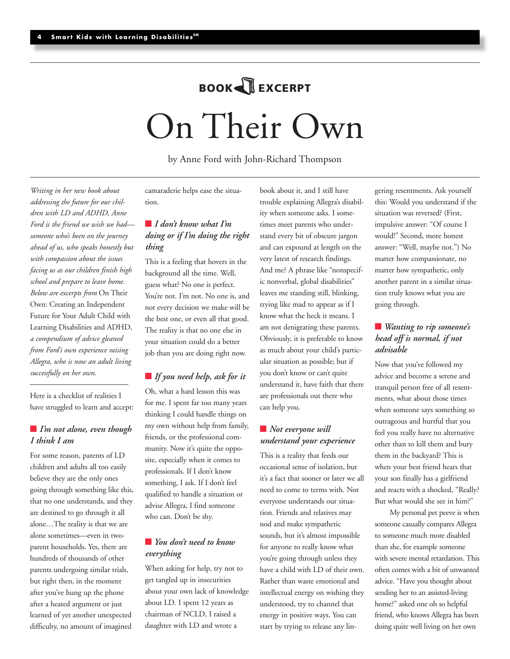# On Their Own **BOOK**+**EXCERPT**

by Anne Ford with John-Richard Thompson

*Writing in her new book about addressing the future for our children with LD and ADHD, Anne Ford is the friend we wish we had someone who's been on the journey ahead of us, who speaks honestly but with compassion about the issues facing us as our children finish high school and prepare to leave home. Below are excerpts from* On Their Own: Creating an Independent Future for Your Adult Child with Learning Disabilities and ADHD, *a compendium of advice gleaned from Ford's own experience raising Allegra, who is now an adult living successfully on her own.* 

Here is a checklist of realities I have struggled to learn and accept:

# ■ *I'm not alone, even though I think I am*

For some reason, parents of LD children and adults all too easily believe they are the only ones going through something like this, that no one understands, and they are destined to go through it all alone…The reality is that we are alone sometimes—even in twoparent households. Yes, there are hundreds of thousands of other parents undergoing similar trials, but right then, in the moment after you've hung up the phone after a heated argument or just learned of yet another unexpected difficulty, no amount of imagined

camaraderie helps ease the situation.

# **■** *I don't know what I'm doing or if I'm doing the right thing*

This is a feeling that hovers in the background all the time. Well, guess what? No one is perfect. You're not. I'm not. No one is, and not every decision we make will be the best one, or even all that good. The reality is that no one else in your situation could do a better job than you are doing right now.

# **■** *If you need help, ask for it*

Oh, what a hard lesson this was for me. I spent far too many years thinking I could handle things on my own without help from family, friends, or the professional community. Now it's quite the opposite, especially when it comes to professionals. If I don't know something, I ask. If I don't feel qualified to handle a situation or advise Allegra, I find someone who can. Don't be shy.

# ■ *You don't need to know everything*

When asking for help, try not to get tangled up in insecurities about your own lack of knowledge about LD. I spent 12 years as chairman of NCLD, I raised a daughter with LD and wrote a

book about it, and I still have trouble explaining Allegra's disability when someone asks. I sometimes meet parents who understand every bit of obscure jargon and can expound at length on the very latest of research findings. And me? A phrase like "nonspecific nonverbal, global disabilities" leaves me standing still, blinking, trying like mad to appear as if I know what the heck it means. I am not denigrating these parents. Obviously, it is preferable to know as much about your child's particular situation as possible; but if you don't know or can't quite understand it, have faith that there are professionals out there who can help you.

# ■ *Not everyone will understand your experience*

This is a reality that feeds our occasional sense of isolation, but it's a fact that sooner or later we all need to come to terms with. Not everyone understands our situation. Friends and relatives may nod and make sympathetic sounds, but it's almost impossible for anyone to really know what you're going through unless they have a child with LD of their own. Rather than waste emotional and intellectual energy on wishing they understood, try to channel that energy in positive ways. You can start by trying to release any lin-

gering resentments. Ask yourself this: Would you understand if the situation was reversed? (First, impulsive answer: "Of course I would!" Second, more honest answer: "Well, maybe not.") No matter how compassionate, no matter how sympathetic, only another parent in a similar situation truly knows what you are going through.

# ■ *Wanting to rip someone's head off is normal, if not advisable*

Now that you've followed my advice and become a serene and tranquil person free of all resentments, what about those times when someone says something so outrageous and hurtful that you feel you really have no alternative other than to kill them and bury them in the backyard? This is when your best friend hears that your son finally has a girlfriend and reacts with a shocked, "Really? But what would she see in him?"

My personal pet peeve is when someone casually compares Allegra to someone much more disabled than she, for example someone with severe mental retardation. This often comes with a bit of unwanted advice. "Have you thought about sending her to an assisted-living home?" asked one oh so helpful friend, who knows Allegra has been doing quite well living on her own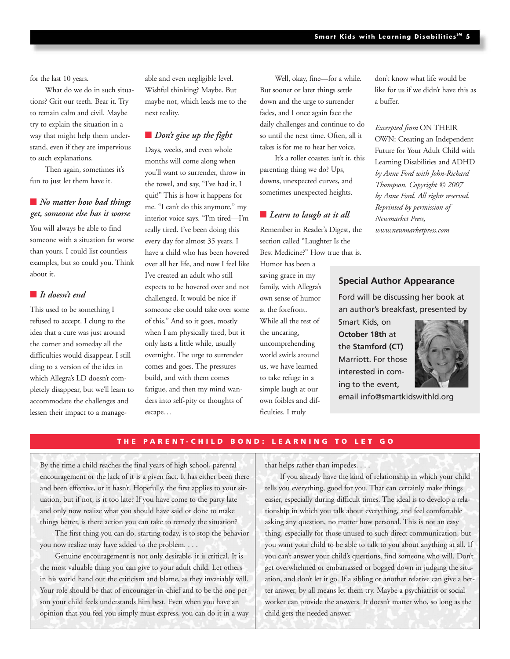for the last 10 years.

What do we do in such situations? Grit our teeth. Bear it. Try to remain calm and civil. Maybe try to explain the situation in a way that might help them understand, even if they are impervious to such explanations.

Then again, sometimes it's fun to just let them have it.

# ■ *No matter how bad things get, someone else has it worse*

You will always be able to find someone with a situation far worse than yours. I could list countless examples, but so could you. Think about it.

# **■** *It doesn't end*

This used to be something I refused to accept. I clung to the idea that a cure was just around the corner and someday all the difficulties would disappear. I still cling to a version of the idea in which Allegra's LD doesn't completely disappear, but we'll learn to accommodate the challenges and lessen their impact to a manageable and even negligible level. Wishful thinking? Maybe. But maybe not, which leads me to the next reality.

# ■ *Don't give up the fight*

Days, weeks, and even whole months will come along when you'll want to surrender, throw in the towel, and say, "I've had it, I quit!" This is how it happens for me. "I can't do this anymore," my interior voice says. "I'm tired—I'm really tired. I've been doing this every day for almost 35 years. I have a child who has been hovered over all her life, and now I feel like I've created an adult who still expects to be hovered over and not challenged. It would be nice if someone else could take over some of this." And so it goes, mostly when I am physically tired, but it only lasts a little while, usually overnight. The urge to surrender comes and goes. The pressures build, and with them comes fatigue, and then my mind wanders into self-pity or thoughts of escape…

Well, okay, fine—for a while. But sooner or later things settle down and the urge to surrender fades, and I once again face the daily challenges and continue to do so until the next time. Often, all it takes is for me to hear her voice.

It's a roller coaster, isn't it, this parenting thing we do? Ups, downs, unexpected curves, and sometimes unexpected heights.

# **■** *Learn to laugh at it all*

Remember in Reader's Digest, the section called "Laughter Is the Best Medicine?" How true that is.

Humor has been a saving grace in my family, with Allegra's own sense of humor at the forefront. While all the rest of the uncaring, uncomprehending world swirls around us, we have learned to take refuge in a simple laugh at our own foibles and difficulties. I truly

don't know what life would be like for us if we didn't have this as a buffer.

*Excerpted from* ON THEIR OWN: Creating an Independent Future for Your Adult Child with Learning Disabilities and ADHD *by Anne Ford with John-Richard Thompson. Copyright © 2007 by Anne Ford. All rights reserved. Reprinted by permission of Newmarket Press, www.newmarketpress.com* 

### **Special Author Appearance**

Ford will be discussing her book at an author's breakfast, presented by

Smart Kids, on **October 18th** at the **Stamford (CT)** Marriott. For those interested in coming to the event,



email info@smartkidswithld.org

## **THE PARENT-CHILD BOND: LEARNING TO LET GO**

By the time a child reaches the final years of high school, parental encouragement or the lack of it is a given fact. It has either been there and been effective, or it hasn't. Hopefully, the first applies to your situation, but if not, is it too late? If you have come to the party late and only now realize what you should have said or done to make things better, is there action you can take to remedy the situation?

The first thing you can do, starting today, is to stop the behavior you now realize may have added to the problem. . . .

Genuine encouragement is not only desirable, it is critical. It is the most valuable thing you can give to your adult child. Let others in his world hand out the criticism and blame, as they invariably will. Your role should be that of encourager-in-chief and to be the one person your child feels understands him best. Even when you have an opinion that you feel you simply must express, you can do it in a way that helps rather than impedes. . . .

If you already have the kind of relationship in which your child tells you everything, good for you. That can certainly make things easier, especially during difficult times. The ideal is to develop a relationship in which you talk about everything, and feel comfortable asking any question, no matter how personal. This is not an easy thing, especially for those unused to such direct communication, but you want your child to be able to talk to you about anything at all. If you can't answer your child's questions, find someone who will. Don't get overwhelmed or embarrassed or bogged down in judging the situation, and don't let it go. If a sibling or another relative can give a better answer, by all means let them try. Maybe a psychiatrist or social worker can provide the answers. It doesn't matter who, so long as the child gets the needed answer.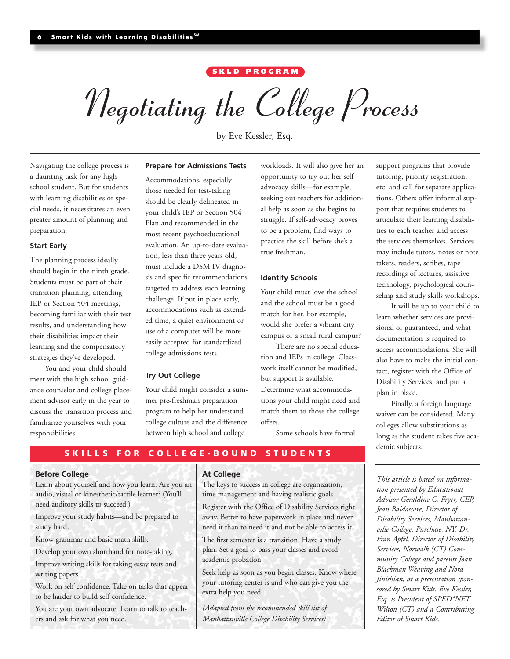# **S KLD PROGRAM**

*Negotiating the College Process*

by Eve Kessler, Esq.

# Navigating the college process is a daunting task for any highschool student. But for students with learning disabilities or special needs, it necessitates an even greater amount of planning and preparation.

#### **Start Early**

The planning process ideally should begin in the ninth grade. Students must be part of their transition planning, attending IEP or Section 504 meetings, becoming familiar with their test results, and understanding how their disabilities impact their learning and the compensatory strategies they've developed.

You and your child should meet with the high school guidance counselor and college placement advisor early in the year to discuss the transition process and familiarize yourselves with your responsibilities.

#### **Prepare for Admissions Tests**

Accommodations, especially those needed for test-taking should be clearly delineated in your child's IEP or Section 504 Plan and recommended in the most recent psychoeducational evaluation. An up-to-date evaluation, less than three years old, must include a DSM IV diagnosis and specific recommendations targeted to address each learning challenge. If put in place early, accommodations such as extended time, a quiet environment or use of a computer will be more easily accepted for standardized college admissions tests.

#### **Try Out College**

Your child might consider a summer pre-freshman preparation program to help her understand college culture and the difference between high school and college

workloads. It will also give her an opportunity to try out her selfadvocacy skills—for example, seeking out teachers for additional help as soon as she begins to struggle. If self-advocacy proves to be a problem, find ways to practice the skill before she's a true freshman.

#### **Identify Schools**

Your child must love the school and the school must be a good match for her. For example, would she prefer a vibrant city campus or a small rural campus?

There are no special education and IEPs in college. Classwork itself cannot be modified, but support is available. Determine what accommoda-

tions your child might need and match them to those the college offers.

Some schools have formal

support programs that provide tutoring, priority registration, etc. and call for separate applications. Others offer informal support that requires students to articulate their learning disabilities to each teacher and access the services themselves. Services may include tutors, notes or note takers, readers, scribes, tape recordings of lectures, assistive technology, psychological counseling and study skills workshops.

It will be up to your child to learn whether services are provisional or guaranteed, and what documentation is required to access accommodations. She will also have to make the initial contact, register with the Office of Disability Services, and put a plan in place.

Finally, a foreign language waiver can be considered. Many colleges allow substitutions as long as the student takes five academic subjects.

**SKILLS FOR COLLEGE-BOUND STUDENTS**

#### **Before College**

Learn about yourself and how you learn. Are you an audio, visual or kinesthetic/tactile learner? (You'll need auditory skills to succeed.)

Improve your study habits—and be prepared to study hard.

Know grammar and basic math skills.

Develop your own shorthand for note-taking.

Improve writing skills for taking essay tests and writing papers.

Work on self-confidence. Take on tasks that appear to be harder to build self-confidence.

You are your own advocate. Learn to talk to teachers and ask for what you need.

#### **At College**

The keys to success in college are organization, time management and having realistic goals.

Register with the Office of Disability Services right away. Better to have paperwork in place and never need it than to need it and not be able to access it.

The first semester is a transition. Have a study plan. Set a goal to pass your classes and avoid academic probation.

Seek help as soon as you begin classes. Know where your tutoring center is and who can give you the extra help you need.

*(Adapted from the recommended skill list of Manhattanville College Disability Services)*

*This article is based on information presented by Educational Advisor Geraldine C. Fryer, CEP, Jean Baldassare, Director of Disability Services, Manhattanville College, Purchase, NY, Dr. Fran Apfel, Director of Disability Services, Norwalk (CT) Community College and parents Joan Blackman Weaving and Nora Jinishian, at a presentation sponsored by Smart Kids. Eve Kessler, Esq. is President of SPED\*NET Wilton (CT) and a Contributing Editor of Smart Kids.*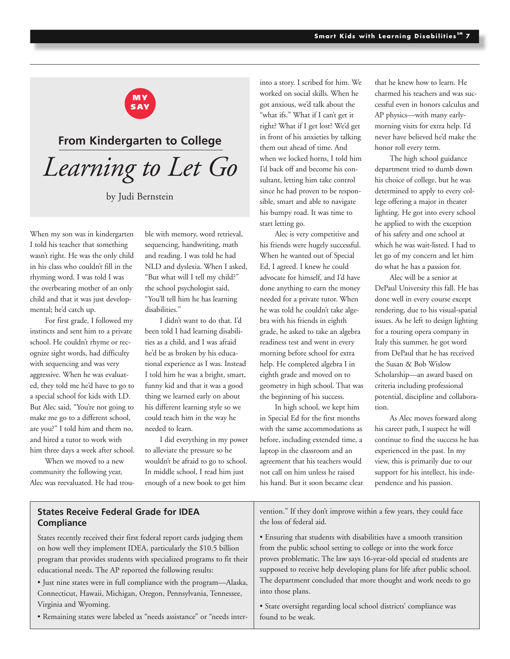

# **From Kindergarten to College** *Learning to Let Go*

by Judi Bernstein

When my son was in kindergarten I told his teacher that something wasn't right. He was the only child in his class who couldn't fill in the rhyming word. I was told I was the overbearing mother of an only child and that it was just developmental; he'd catch up.

For first grade, I followed my instincts and sent him to a private school. He couldn't rhyme or recognize sight words, had difficulty with sequencing and was very aggressive. When he was evaluated, they told me he'd have to go to a special school for kids with LD. But Alec said, "You're not going to make me go to a different school, are you?" I told him and them no, and hired a tutor to work with him three days a week after school.

When we moved to a new community the following year, Alec was reevaluated. He had trouble with memory, word retrieval, sequencing, handwriting, math and reading. I was told he had NLD and dyslexia. When I asked, "But what will I tell my child?" the school psychologist said, "You'll tell him he has learning disabilities."

I didn't want to do that. I'd been told I had learning disabilities as a child, and I was afraid he'd be as broken by his educational experience as I was. Instead I told him he was a bright, smart, funny kid and that it was a good thing we learned early on about his different learning style so we could teach him in the way he needed to learn.

I did everything in my power to alleviate the pressure so he wouldn't be afraid to go to school. In middle school, I read him just enough of a new book to get him

into a story. I scribed for him. We worked on social skills. When he got anxious, we'd talk about the "what ifs." What if I can't get it right? What if I get lost? We'd get in front of his anxieties by talking them out ahead of time. And when we locked horns, I told him I'd back off and become his consultant, letting him take control since he had proven to be responsible, smart and able to navigate his bumpy road. It was time to start letting go.

Alec is very competitive and his friends were hugely successful. When he wanted out of Special Ed, I agreed. I knew he could advocate for himself, and I'd have done anything to earn the money needed for a private tutor. When he was told he couldn't take algebra with his friends in eighth grade, he asked to take an algebra readiness test and went in every morning before school for extra help. He completed algebra I in eighth grade and moved on to geometry in high school. That was the beginning of his success.

In high school, we kept him in Special Ed for the first months with the same accommodations as before, including extended time, a laptop in the classroom and an agreement that his teachers would not call on him unless he raised his hand. But it soon became clear

that he knew how to learn. He charmed his teachers and was successful even in honors calculus and AP physics—with many earlymorning visits for extra help. I'd never have believed he'd make the honor roll every term.

The high school guidance department tried to dumb down his choice of college, but he was determined to apply to every college offering a major in theater lighting. He got into every school he applied to with the exception of his safety and one school at which he was wait-listed. I had to let go of my concern and let him do what he has a passion for.

Alec will be a senior at DePaul University this fall. He has done well in every course except rendering, due to his visual-spatial issues. As he left to design lighting for a touring opera company in Italy this summer, he got word from DePaul that he has received the Susan & Bob Wislow Scholarship—an award based on criteria including professional potential, discipline and collaboration.

As Alec moves forward along his career path, I suspect he will continue to find the success he has experienced in the past. In my view, this is primarily due to our support for his intellect, his independence and his passion.

| <b>States Receive Federal Grade for IDEA</b>                           | vention." If they don't improve within a few years, they could face     |
|------------------------------------------------------------------------|-------------------------------------------------------------------------|
| Compliance                                                             | the loss of federal aid.                                                |
| States recently received their first federal report cards judging them | • Ensuring that students with disabilities have a smooth transition     |
| on how well they implement IDEA, particularly the \$10.5 billion       | from the public school setting to college or into the work force        |
| program that provides students with specialized programs to fit their  | proves problematic. The law says 16-year-old special ed students are    |
| educational needs. The AP reported the following results:              | supposed to receive help developing plans for life after public school. |
| • Just nine states were in full compliance with the program-Alaska,    | The department concluded that more thought and work needs to go         |
| Connecticut, Hawaii, Michigan, Oregon, Pennsylvania, Tennessee,        | into those plans.                                                       |
| Virginia and Wyoming.                                                  | · State oversight regarding local school districts' compliance was      |
| • Remaining states were labeled as "needs assistance" or "needs inter- | found to be weak.                                                       |
|                                                                        |                                                                         |